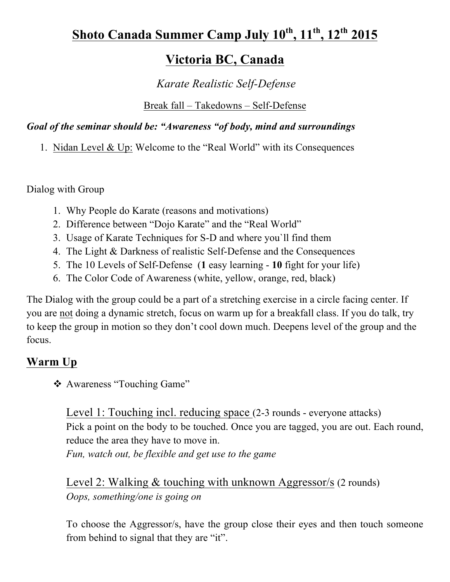# Shoto Canada Summer Camp July  $10^{th}$ ,  $11^{th}$ ,  $12^{th}$   $2015$

# **Victoria BC, Canada**

# *Karate Realistic Self-Defense*

#### Break fall – Takedowns – Self-Defense

#### *Goal of the seminar should be: "Awareness "of body, mind and surroundings*

1. Nidan Level & Up: Welcome to the "Real World" with its Consequences

Dialog with Group

- 1. Why People do Karate (reasons and motivations)
- 2. Difference between "Dojo Karate" and the "Real World"
- 3. Usage of Karate Techniques for S-D and where you`ll find them
- 4. The Light & Darkness of realistic Self-Defense and the Consequences
- 5. The 10 Levels of Self-Defense (**1** easy learning **10** fight for your life)
- 6. The Color Code of Awareness (white, yellow, orange, red, black)

The Dialog with the group could be a part of a stretching exercise in a circle facing center. If you are not doing a dynamic stretch, focus on warm up for a breakfall class. If you do talk, try to keep the group in motion so they don't cool down much. Deepens level of the group and the focus.

# **Warm Up**

❖ Awareness "Touching Game"

Level 1: Touching incl. reducing space (2-3 rounds - everyone attacks) Pick a point on the body to be touched. Once you are tagged, you are out. Each round, reduce the area they have to move in. *Fun, watch out, be flexible and get use to the game*

Level 2: Walking & touching with unknown Aggressor/s (2 rounds) *Oops, something/one is going on*

To choose the Aggressor/s, have the group close their eyes and then touch someone from behind to signal that they are "it".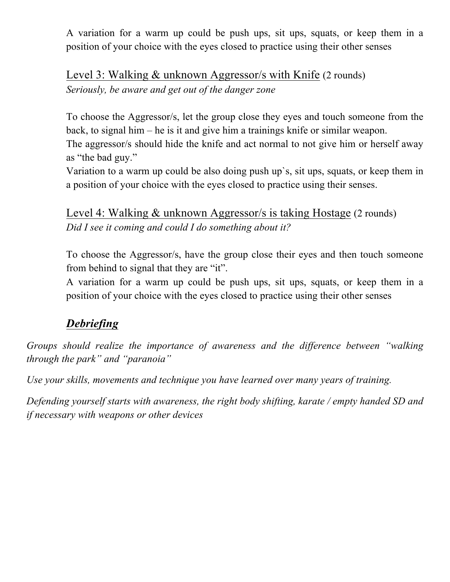A variation for a warm up could be push ups, sit ups, squats, or keep them in a position of your choice with the eyes closed to practice using their other senses

Level 3: Walking & unknown Aggressor/s with Knife (2 rounds) *Seriously, be aware and get out of the danger zone* 

To choose the Aggressor/s, let the group close they eyes and touch someone from the back, to signal him – he is it and give him a trainings knife or similar weapon.

The aggressor/s should hide the knife and act normal to not give him or herself away as "the bad guy."

Variation to a warm up could be also doing push up`s, sit ups, squats, or keep them in a position of your choice with the eyes closed to practice using their senses.

Level 4: Walking & unknown Aggressor/s is taking Hostage (2 rounds) *Did I see it coming and could I do something about it?* 

To choose the Aggressor/s, have the group close their eyes and then touch someone from behind to signal that they are "it".

A variation for a warm up could be push ups, sit ups, squats, or keep them in a position of your choice with the eyes closed to practice using their other senses

# *Debriefing*

*Groups should realize the importance of awareness and the difference between "walking through the park" and "paranoia"*

*Use your skills, movements and technique you have learned over many years of training.*

*Defending yourself starts with awareness, the right body shifting, karate / empty handed SD and if necessary with weapons or other devices*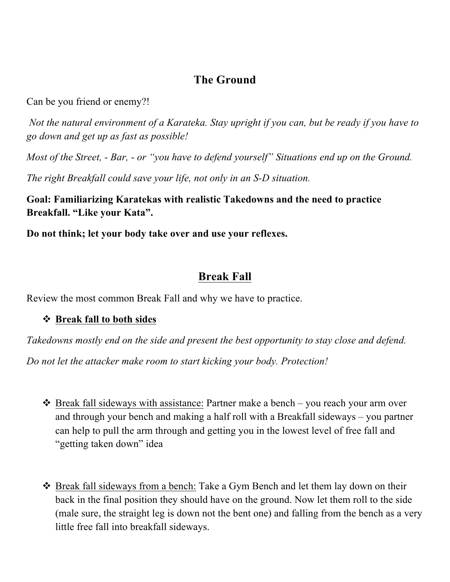## **The Ground**

Can be you friend or enemy?!

*Not the natural environment of a Karateka. Stay upright if you can, but be ready if you have to go down and get up as fast as possible!*

*Most of the Street, - Bar, - or "you have to defend yourself" Situations end up on the Ground.* 

*The right Breakfall could save your life, not only in an S-D situation.* 

**Goal: Familiarizing Karatekas with realistic Takedowns and the need to practice Breakfall. "Like your Kata".** 

**Do not think; let your body take over and use your reflexes.**

#### **Break Fall**

Review the most common Break Fall and why we have to practice.

#### ! **Break fall to both sides**

*Takedowns mostly end on the side and present the best opportunity to stay close and defend.*

*Do not let the attacker make room to start kicking your body. Protection!*

- $\triangleleft$  Break fall sideways with assistance: Partner make a bench you reach your arm over and through your bench and making a half roll with a Breakfall sideways – you partner can help to pull the arm through and getting you in the lowest level of free fall and "getting taken down" idea
- \* Break fall sideways from a bench: Take a Gym Bench and let them lay down on their back in the final position they should have on the ground. Now let them roll to the side (male sure, the straight leg is down not the bent one) and falling from the bench as a very little free fall into breakfall sideways.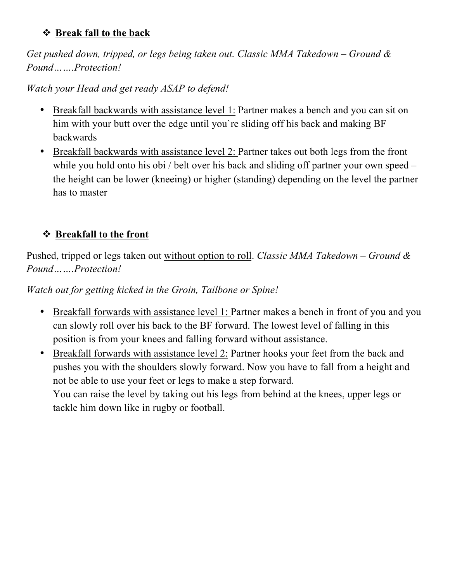#### ! **Break fall to the back**

*Get pushed down, tripped, or legs being taken out. Classic MMA Takedown – Ground & Pound…….Protection!*

*Watch your Head and get ready ASAP to defend!*

- Breakfall backwards with assistance level 1: Partner makes a bench and you can sit on him with your butt over the edge until you`re sliding off his back and making BF backwards
- Breakfall backwards with assistance level 2: Partner takes out both legs from the front while you hold onto his obi / belt over his back and sliding off partner your own speed – the height can be lower (kneeing) or higher (standing) depending on the level the partner has to master

## ! **Breakfall to the front**

Pushed, tripped or legs taken out without option to roll. *Classic MMA Takedown – Ground & Pound…….Protection!* 

*Watch out for getting kicked in the Groin, Tailbone or Spine!*

- Breakfall forwards with assistance level 1: Partner makes a bench in front of you and you can slowly roll over his back to the BF forward. The lowest level of falling in this position is from your knees and falling forward without assistance.
- Breakfall forwards with assistance level 2: Partner hooks your feet from the back and pushes you with the shoulders slowly forward. Now you have to fall from a height and not be able to use your feet or legs to make a step forward.

You can raise the level by taking out his legs from behind at the knees, upper legs or tackle him down like in rugby or football.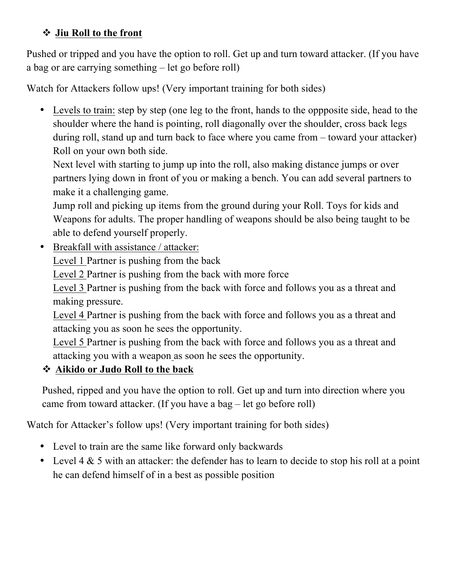#### ! **Jiu Roll to the front**

Pushed or tripped and you have the option to roll. Get up and turn toward attacker. (If you have a bag or are carrying something – let go before roll)

Watch for Attackers follow ups! (Very important training for both sides)

• Levels to train: step by step (one leg to the front, hands to the oppposite side, head to the shoulder where the hand is pointing, roll diagonally over the shoulder, cross back legs during roll, stand up and turn back to face where you came from – toward your attacker) Roll on your own both side.

Next level with starting to jump up into the roll, also making distance jumps or over partners lying down in front of you or making a bench. You can add several partners to make it a challenging game.

Jump roll and picking up items from the ground during your Roll. Toys for kids and Weapons for adults. The proper handling of weapons should be also being taught to be able to defend yourself properly.

• Breakfall with assistance / attacker:

Level 1 Partner is pushing from the back

Level 2 Partner is pushing from the back with more force

Level 3 Partner is pushing from the back with force and follows you as a threat and making pressure.

Level 4 Partner is pushing from the back with force and follows you as a threat and attacking you as soon he sees the opportunity.

Level 5 Partner is pushing from the back with force and follows you as a threat and attacking you with a weapon as soon he sees the opportunity.

#### ! **Aikido or Judo Roll to the back**

Pushed, ripped and you have the option to roll. Get up and turn into direction where you came from toward attacker. (If you have a bag – let go before roll)

Watch for Attacker's follow ups! (Very important training for both sides)

- Level to train are the same like forward only backwards
- Level  $4 \& 5$  with an attacker: the defender has to learn to decide to stop his roll at a point he can defend himself of in a best as possible position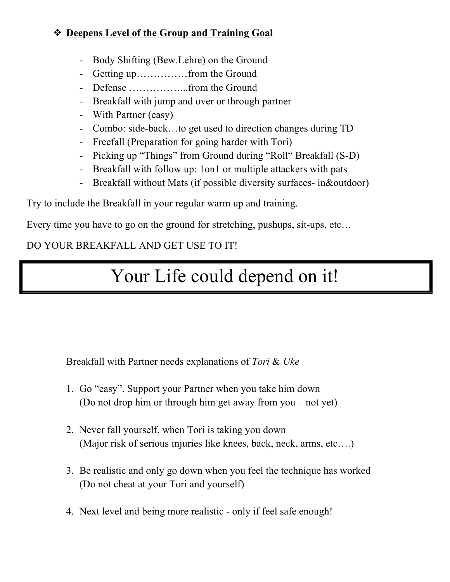#### ! **Deepens Level of the Group and Training Goal**

- Body Shifting (Bew.Lehre) on the Ground
- Getting up……………from the Ground
- Defense ……………...from the Ground
- Breakfall with jump and over or through partner
- With Partner (easy)
- Combo: side-back…to get used to direction changes during TD
- Freefall (Preparation for going harder with Tori)
- Picking up "Things" from Ground during "Roll" Breakfall (S-D)
- Breakfall with follow up: 1on1 or multiple attackers with pats
- Breakfall without Mats (if possible diversity surfaces- in&outdoor)

Try to include the Breakfall in your regular warm up and training.

Every time you have to go on the ground for stretching, pushups, sit-ups, etc…

## DO YOUR BREAKFALL AND GET USE TO IT!

# Your Life could depend on it!

Breakfall with Partner needs explanations of *Tori* & *Uke*

- 1. Go "easy". Support your Partner when you take him down (Do not drop him or through him get away from you – not yet)
- 2. Never fall yourself, when Tori is taking you down (Major risk of serious injuries like knees, back, neck, arms, etc….)
- 3. Be realistic and only go down when you feel the technique has worked (Do not cheat at your Tori and yourself)
- 4. Next level and being more realistic only if feel safe enough!